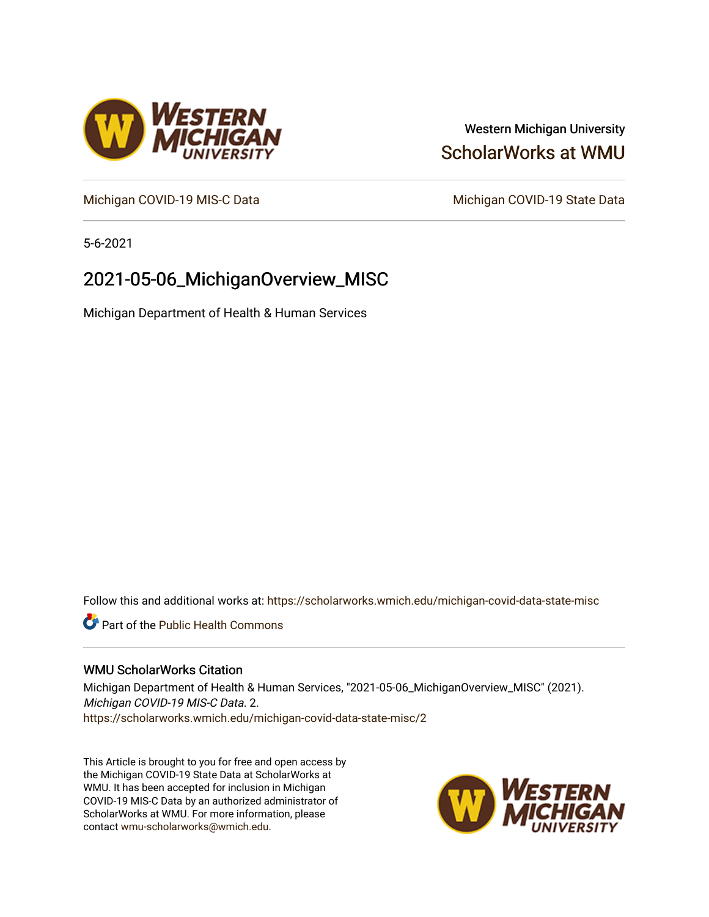# Western Michigan University [ScholarWorks at WMU](https://scholarworks.wmich.edu/)

[Michigan COVID-19 MIS-C Data](https://scholarworks.wmich.edu/michigan-covid-data-state-misc) Michigan COVID-19 State Data

5-6-2021

# 2021-05-06\_MichiganOverview\_MISC

Michigan Department of Health & Human Services

Follow this and additional works at: [https://scholarworks.wmich.edu/michigan-covid-data-state-misc](https://scholarworks.wmich.edu/michigan-covid-data-state-misc?utm_source=scholarworks.wmich.edu%2Fmichigan-covid-data-state-misc%2F2&utm_medium=PDF&utm_campaign=PDFCoverPages) 

**Part of the Public Health Commons** 

#### WMU ScholarWorks Citation

Michigan Department of Health & Human Services, "2021-05-06\_MichiganOverview\_MISC" (2021). Michigan COVID-19 MIS-C Data. 2. [https://scholarworks.wmich.edu/michigan-covid-data-state-misc/2](https://scholarworks.wmich.edu/michigan-covid-data-state-misc/2?utm_source=scholarworks.wmich.edu%2Fmichigan-covid-data-state-misc%2F2&utm_medium=PDF&utm_campaign=PDFCoverPages) 

This Article is brought to you for free and open access by the Michigan COVID-19 State Data at ScholarWorks at WMU. It has been accepted for inclusion in Michigan COVID-19 MIS-C Data by an authorized administrator of ScholarWorks at WMU. For more information, please contact [wmu-scholarworks@wmich.edu](mailto:wmu-scholarworks@wmich.edu).



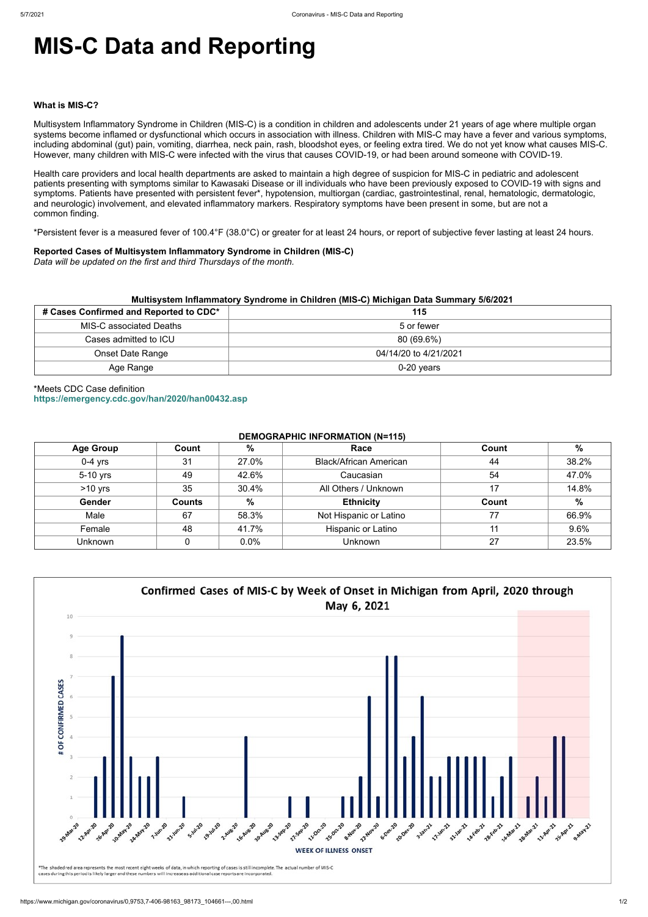# **MIS-C Data and Reporting**

#### **What is MIS-C?**

Multisystem Inflammatory Syndrome in Children (MIS-C) is a condition in children and adolescents under 21 years of age where multiple organ systems become inflamed or dysfunctional which occurs in association with illness. Children with MIS-C may have a fever and various symptoms, including abdominal (gut) pain, vomiting, diarrhea, neck pain, rash, bloodshot eyes, or feeling extra tired. We do not yet know what causes MIS-C. However, many children with MIS-C were infected with the virus that causes COVID-19, or had been around someone with COVID-19.

Health care providers and local health departments are asked to maintain a high degree of suspicion for MIS-C in pediatric and adolescent patients presenting with symptoms similar to Kawasaki Disease or ill individuals who have been previously exposed to COVID-19 with signs and symptoms. Patients have presented with persistent fever\*, hypotension, multiorgan (cardiac, gastrointestinal, renal, hematologic, dermatologic, and neurologic) involvement, and elevated inflammatory markers. Respiratory symptoms have been present in some, but are not a common finding.

\*Persistent fever is a measured fever of 100.4°F (38.0°C) or greater for at least 24 hours, or report of subjective fever lasting at least 24 hours.

#### **Reported Cases of Multisystem Inflammatory Syndrome in Children (MIS-C)**

*Data will be updated on the first and third Thursdays of the month.*

| Multisystem Inflammatory Syndrome in Children (MIS-C) Michigan Data Summary 5/6/2021 |                       |  |  |  |
|--------------------------------------------------------------------------------------|-----------------------|--|--|--|
| # Cases Confirmed and Reported to CDC*                                               | 115                   |  |  |  |
| <b>MIS-C associated Deaths</b>                                                       | 5 or fewer            |  |  |  |
| Cases admitted to ICU                                                                | 80 (69.6%)            |  |  |  |
| Onset Date Range                                                                     | 04/14/20 to 4/21/2021 |  |  |  |
| Age Range                                                                            | $0-20$ years          |  |  |  |

## \*Meets CDC Case definition **<https://emergency.cdc.gov/han/2020/han00432.asp>**

### **DEMOGRAPHIC INFORMATION (N=115)**

| <b>Age Group</b> | Count         | %             | Race                          | Count | $\%$  |
|------------------|---------------|---------------|-------------------------------|-------|-------|
| $0-4$ yrs        | 31            | 27.0%         | <b>Black/African American</b> | 44    | 38.2% |
| 5-10 yrs         | 49            | 42.6%         | Caucasian                     | 54    | 47.0% |
| $>10$ yrs        | 35            | 30.4%         | All Others / Unknown          | 17    | 14.8% |
| Gender           | <b>Counts</b> | $\frac{9}{6}$ | <b>Ethnicity</b>              | Count | $\%$  |
| Male             | 67            | 58.3%         | Not Hispanic or Latino        | 77    | 66.9% |
| Female           | 48            | 41.7%         | <b>Hispanic or Latino</b>     |       | 9.6%  |
| <b>Unknown</b>   |               | 0.0%          | <b>Unknown</b>                | 27    | 23.5% |